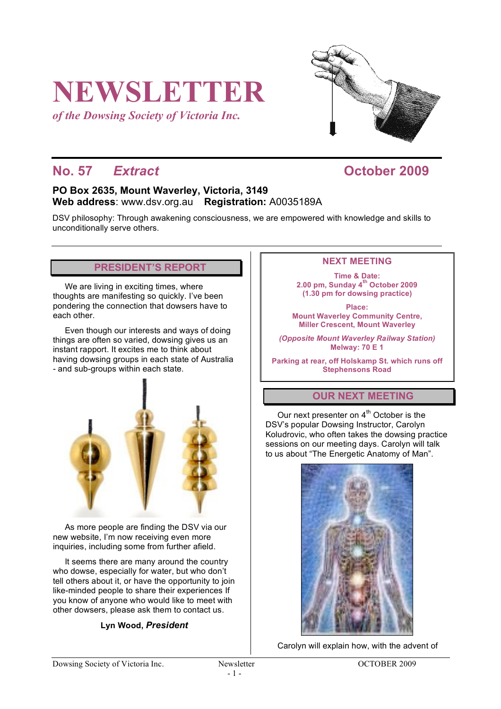# **NEWSLETTER**

*of the Dowsing Society of Victoria Inc.*



# **No. 57** *Extract* **October 2009**

### **PO Box 2635, Mount Waverley, Victoria, 3149 Web address**: www.dsv.org.au **Registration:** A0035189A

DSV philosophy: Through awakening consciousness, we are empowered with knowledge and skills to unconditionally serve others.

# **PRESIDENT'S REPORT**

We are living in exciting times, where thoughts are manifesting so quickly. I've been pondering the connection that dowsers have to each other.

Even though our interests and ways of doing things are often so varied, dowsing gives us an instant rapport. It excites me to think about having dowsing groups in each state of Australia - and sub-groups within each state.



As more people are finding the DSV via our new website, I'm now receiving even more inquiries, including some from further afield.

It seems there are many around the country who dowse, especially for water, but who don't tell others about it, or have the opportunity to join like-minded people to share their experiences If you know of anyone who would like to meet with other dowsers, please ask them to contact us.

**Lyn Wood,** *President*

#### **NEXT MEETING**

**Time & Date: 2.00 pm, Sunday 4th October 2009 (1.30 pm for dowsing practice)**

**Place: Mount Waverley Community Centre, Miller Crescent, Mount Waverley**

*(Opposite Mount Waverley Railway Station)* **Melway: 70 E 1**

**Parking at rear, off Holskamp St. which runs off Stephensons Road**

# **OUR NEXT MEETING**

Our next presenter on  $4<sup>th</sup>$  October is the DSV's popular Dowsing Instructor, Carolyn Koludrovic, who often takes the dowsing practice sessions on our meeting days. Carolyn will talk to us about "The Energetic Anatomy of Man".



Carolyn will explain how, with the advent of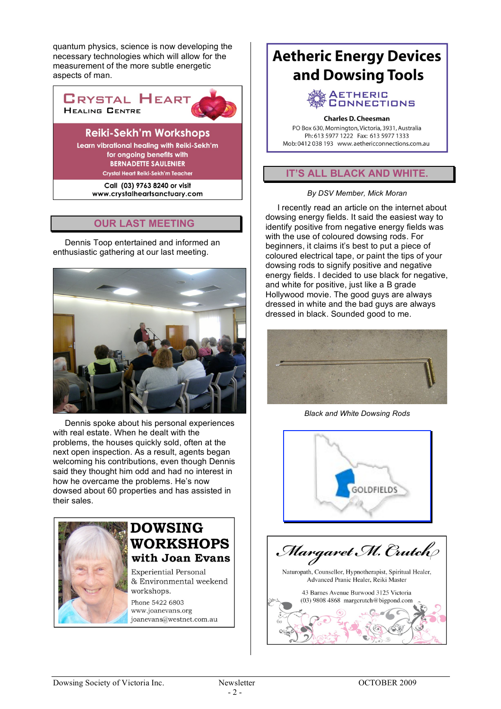quantum physics, science is now developing the necessary technologies which will allow for the measurement of the more subtle energetic aspects of man.



Learn vibrational healing with Reiki-Sekh'm for ongoing benefits with **BERNADETTE SAULENIER** Crystal Heart Reiki-Sekh'm Teacher

> Call (03) 9763 8240 or visit www.crystalheartsanctuary.com

# **OUR LAST MEETING**

Dennis Toop entertained and informed an enthusiastic gathering at our last meeting.



Dennis spoke about his personal experiences with real estate. When he dealt with the problems, the houses quickly sold, often at the next open inspection. As a result, agents began welcoming his contributions, even though Dennis said they thought him odd and had no interest in how he overcame the problems. He's now dowsed about 60 properties and has assisted in their sales.



# **DOWSING WORKSHOPS** with Joan Evans

**Experiential Personal** & Environmental weekend workshops.

Phone 5422 6803 www.joanevans.org joanevans@westnet.com.au

# **Aetheric Energy Devices** and Dowsing Tools

#### **AETHERIC ONNECTIONS**

#### **Charles D. Cheesman**

PO Box 630, Mornington, Victoria, 3931, Australia Ph: 613 5977 1222 Fax: 613 5977 1333 Mob: 0412 038 193 www.aethericconnections.com.au

# **IT'S ALL BLACK AND WHITE.**

#### *By DSV Member, Mick Moran*

I recently read an article on the internet about dowsing energy fields. It said the easiest way to identify positive from negative energy fields was with the use of coloured dowsing rods. For beginners, it claims it's best to put a piece of coloured electrical tape, or paint the tips of your dowsing rods to signify positive and negative energy fields. I decided to use black for negative. and white for positive, just like a B grade Hollywood movie. The good guys are always dressed in white and the bad guys are always dressed in black. Sounded good to me.



*Black and White Dowsing Rods*